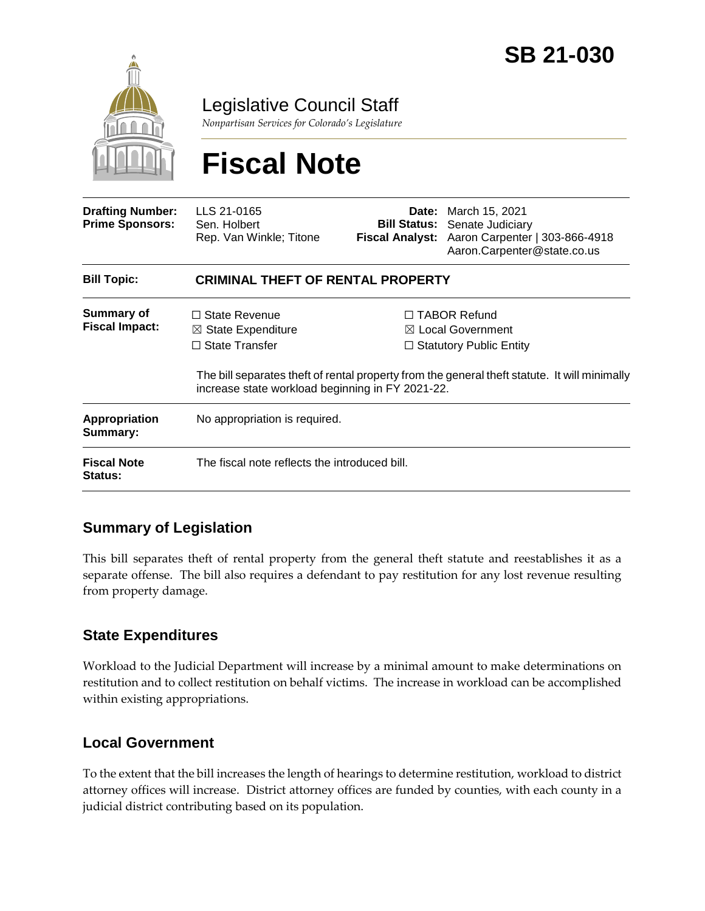

Legislative Council Staff

*Nonpartisan Services for Colorado's Legislature*

# **Fiscal Note**

| <b>Drafting Number:</b><br><b>Prime Sponsors:</b> | LLS 21-0165<br>Sen. Holbert<br>Rep. Van Winkle; Titone                                                                             |  | <b>Date:</b> March 15, 2021<br><b>Bill Status:</b> Senate Judiciary<br>Fiscal Analyst: Aaron Carpenter   303-866-4918<br>Aaron.Carpenter@state.co.us                                   |  |
|---------------------------------------------------|------------------------------------------------------------------------------------------------------------------------------------|--|----------------------------------------------------------------------------------------------------------------------------------------------------------------------------------------|--|
| <b>Bill Topic:</b>                                | <b>CRIMINAL THEFT OF RENTAL PROPERTY</b>                                                                                           |  |                                                                                                                                                                                        |  |
| Summary of<br><b>Fiscal Impact:</b>               | $\Box$ State Revenue<br>$\boxtimes$ State Expenditure<br>$\Box$ State Transfer<br>increase state workload beginning in FY 2021-22. |  | $\Box$ TABOR Refund<br>$\boxtimes$ Local Government<br>$\Box$ Statutory Public Entity<br>The bill separates theft of rental property from the general theft statute. It will minimally |  |
| <b>Appropriation</b><br>Summary:                  | No appropriation is required.                                                                                                      |  |                                                                                                                                                                                        |  |
| <b>Fiscal Note</b><br><b>Status:</b>              | The fiscal note reflects the introduced bill.                                                                                      |  |                                                                                                                                                                                        |  |

### **Summary of Legislation**

This bill separates theft of rental property from the general theft statute and reestablishes it as a separate offense. The bill also requires a defendant to pay restitution for any lost revenue resulting from property damage.

### **State Expenditures**

Workload to the Judicial Department will increase by a minimal amount to make determinations on restitution and to collect restitution on behalf victims. The increase in workload can be accomplished within existing appropriations.

### **Local Government**

To the extent that the bill increases the length of hearings to determine restitution, workload to district attorney offices will increase. District attorney offices are funded by counties, with each county in a judicial district contributing based on its population.